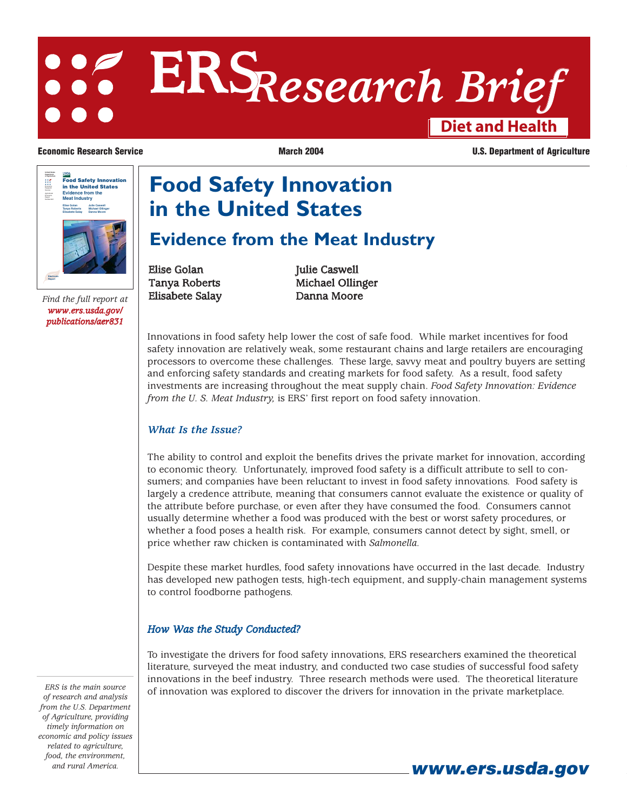# **Diet and Health ERS***Research Brief*

Service<br>Agricultural<br>Economic<br>Number 831<br>Number 831 **Food Safety Innovation in the United States Evidence from the Meat Industry Elise Golan Tanya Roberts Elisabete Salay Julie Caswell Michael Ollinger Danna Moore Electronic Report**

*www.ers.usda.gov/ publications/aer831*

**Economic Research Service March 2004** March 2004 **U.S. Department of Agriculture** 

# **Food Safety Innovation in the United States**

# **Evidence from the Meat Industry**

Elise Golan Julie Caswell Find the full report at **Elisabete Salay Danna Moore** 

Tanya Roberts Michael Ollinger

Innovations in food safety help lower the cost of safe food. While market incentives for food safety innovation are relatively weak, some restaurant chains and large retailers are encouraging processors to overcome these challenges. These large, savvy meat and poultry buyers are setting and enforcing safety standards and creating markets for food safety. As a result, food safety investments are increasing throughout the meat supply chain. *Food Safety Innovation: Evidence from the U. S. Meat Industry,* is ERS' first report on food safety innovation.

### *What Is the Issue?*

The ability to control and exploit the benefits drives the private market for innovation, according to economic theory. Unfortunately, improved food safety is a difficult attribute to sell to consumers; and companies have been reluctant to invest in food safety innovations. Food safety is largely a credence attribute, meaning that consumers cannot evaluate the existence or quality of the attribute before purchase, or even after they have consumed the food. Consumers cannot usually determine whether a food was produced with the best or worst safety procedures, or whether a food poses a health risk. For example, consumers cannot detect by sight, smell, or price whether raw chicken is contaminated with *Salmonella.*

Despite these market hurdles, food safety innovations have occurred in the last decade. Industry has developed new pathogen tests, high-tech equipment, and supply-chain management systems to control foodborne pathogens.

### *How Was the Study Conducted?*

To investigate the drivers for food safety innovations, ERS researchers examined the theoretical literature, surveyed the meat industry, and conducted two case studies of successful food safety innovations in the beef industry. Three research methods were used. The theoretical literature of innovation was explored to discover the drivers for innovation in the private marketplace.

*ERS is the main source of research and analysis from the U.S. Department of Agriculture, providing timely information on economic and policy issues related to agriculture, food, the environment,*

*and rural America.* **www.ers.usda.gov**